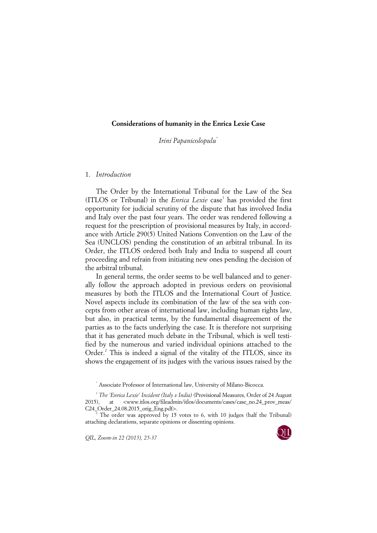## **Considerations of humanity in the Enrica Lexie Case**

*Irini Papanicolopulu*[\\*](#page-0-0)

## 1. *Introduction*

The Order by the International Tribunal for the Law of the Sea (ITLOS or Tribunal) in the *Enrica Lexie* case<sup>[1](#page-0-1)</sup> has provided the first opportunity for judicial scrutiny of the dispute that has involved India and Italy over the past four years. The order was rendered following a request for the prescription of provisional measures by Italy, in accordance with Article 290(5) United Nations Convention on the Law of the Sea (UNCLOS) pending the constitution of an arbitral tribunal. In its Order, the ITLOS ordered both Italy and India to suspend all court proceeding and refrain from initiating new ones pending the decision of the arbitral tribunal.

In general terms, the order seems to be well balanced and to generally follow the approach adopted in previous orders on provisional measures by both the ITLOS and the International Court of Justice. Novel aspects include its combination of the law of the sea with concepts from other areas of international law, including human rights law, but also, in practical terms, by the fundamental disagreement of the parties as to the facts underlying the case. It is therefore not surprising that it has generated much debate in the Tribunal, which is well testified by the numerous and varied individual opinions attached to the Order.<sup>[2](#page-0-2)</sup> This is indeed a signal of the vitality of the ITLOS, since its shows the engagement of its judges with the various issues raised by the

*QIL, Zoom-in 22 (2015), 25-37* 



<sup>\*</sup> Associate Professor of International law, University of Milano-Bicocca.

<span id="page-0-1"></span><span id="page-0-0"></span><sup>1</sup> *The 'Enrica Lexie' Incident (Italy v India)* (Provisional Measures, Order of 24 August 2015), at <www.itlos.org/fileadmin/itlos/documents/cases/case\_no.24\_prov\_meas/ C24 Order 24.08.2015 orig Eng.pdf>.

<span id="page-0-2"></span> $\frac{1}{2}$  The order was approved by 15 votes to 6, with 10 judges (half the Tribunal) attaching declarations, separate opinions or dissenting opinions.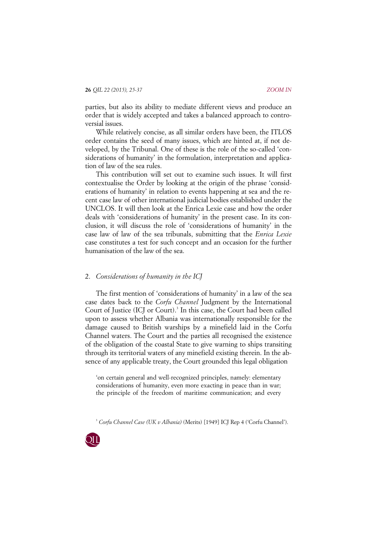parties, but also its ability to mediate different views and produce an order that is widely accepted and takes a balanced approach to controversial issues.

While relatively concise, as all similar orders have been, the ITLOS order contains the seed of many issues, which are hinted at, if not developed, by the Tribunal. One of these is the role of the so-called 'considerations of humanity' in the formulation, interpretation and application of law of the sea rules.

This contribution will set out to examine such issues. It will first contextualise the Order by looking at the origin of the phrase 'considerations of humanity' in relation to events happening at sea and the recent case law of other international judicial bodies established under the UNCLOS. It will then look at the Enrica Lexie case and how the order deals with 'considerations of humanity' in the present case. In its conclusion, it will discuss the role of 'considerations of humanity' in the case law of law of the sea tribunals, submitting that the *Enrica Lexie* case constitutes a test for such concept and an occasion for the further humanisation of the law of the sea.

## 2. *Considerations of humanity in the ICJ*

The first mention of 'considerations of humanity' in a law of the sea case dates back to the *Corfu Channel* Judgment by the International Court of Justice (ICJ or Court).<sup>[3](#page-1-0)</sup> In this case, the Court had been called upon to assess whether Albania was internationally responsible for the damage caused to British warships by a minefield laid in the Corfu Channel waters. The Court and the parties all recognised the existence of the obligation of the coastal State to give warning to ships transiting through its territorial waters of any minefield existing therein. In the absence of any applicable treaty, the Court grounded this legal obligation

'on certain general and well-recognized principles, namely: elementary considerations of humanity, even more exacting in peace than in war; the principle of the freedom of maritime communication; and every

3 *Corfu Channel Case (UK v Albania)* (Merits) [1949] ICJ Rep 4 ('Corfu Channel').

<span id="page-1-0"></span>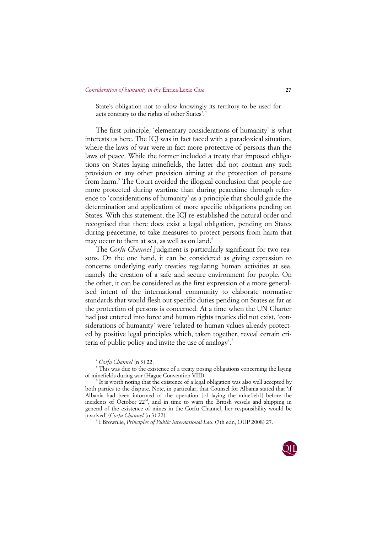State's obligation not to allow knowingly its territory to be used for acts contrary to the rights of other States'. [4](#page-2-0)

The first principle, 'elementary considerations of humanity' is what interests us here. The ICJ was in fact faced with a paradoxical situation, where the laws of war were in fact more protective of persons than the laws of peace. While the former included a treaty that imposed obligations on States laying minefields, the latter did not contain any such provision or any other provision aiming at the protection of persons from harm.<sup>[5](#page-2-1)</sup> The Court avoided the illogical conclusion that people are more protected during wartime than during peacetime through reference to 'considerations of humanity' as a principle that should guide the determination and application of more specific obligations pending on States. With this statement, the ICJ re-established the natural order and recognised that there does exist a legal obligation, pending on States during peacetime, to take measures to protect persons from harm that may occur to them at sea, as well as on land. $6$ 

The *Corfu Channel* Judgment is particularly significant for two reasons. On the one hand, it can be considered as giving expression to concerns underlying early treaties regulating human activities at sea, namely the creation of a safe and secure environment for people. On the other, it can be considered as the first expression of a more generalised intent of the international community to elaborate normative standards that would flesh out specific duties pending on States as far as the protection of persons is concerned. At a time when the UN Charter had just entered into force and human rights treaties did not exist, 'considerations of humanity' were 'related to human values already protected by positive legal principles which, taken together, reveal certain cri-teria of public policy and invite the use of analogy'.<sup>[7](#page-2-3)</sup>

7 I Brownlie, *Principles of Public International Law* (7th edn, OUP 2008) 27.



<sup>4</sup> *Corfu Channel* (n 3) 22.

<span id="page-2-1"></span><span id="page-2-0"></span><sup>&</sup>lt;sup>5</sup> This was due to the existence of a treaty posing obligations concerning the laying of minefields during war (Hague Convention VIII).

<span id="page-2-3"></span><span id="page-2-2"></span><sup>6</sup> It is worth noting that the existence of a legal obligation was also well accepted by both parties to the dispute. Note, in particular, that Counsel for Albania stated that 'if Albania had been informed of the operation [of laying the minefield] before the incidents of October 22<sup>nd</sup>, and in time to warn the British vessels and shipping in general of the existence of mines in the Corfu Channel, her responsibility would be involved' (*Corfu Channel* (n 3) 22).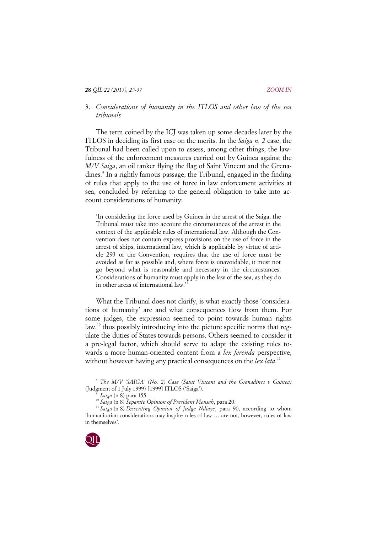## 3. *Considerations of humanity in the ITLOS and other law of the sea tribunals*

The term coined by the ICJ was taken up some decades later by the ITLOS in deciding its first case on the merits. In the *Saiga n. 2* case, the Tribunal had been called upon to assess, among other things, the lawfulness of the enforcement measures carried out by Guinea against the *M/V Saiga*, an oil tanker flying the flag of Saint Vincent and the Grena-dines.<sup>[8](#page-3-0)</sup> In a rightly famous passage, the Tribunal, engaged in the finding of rules that apply to the use of force in law enforcement activities at sea, concluded by referring to the general obligation to take into account considerations of humanity:

'In considering the force used by Guinea in the arrest of the Saiga, the Tribunal must take into account the circumstances of the arrest in the context of the applicable rules of international law. Although the Convention does not contain express provisions on the use of force in the arrest of ships, international law, which is applicable by virtue of article 293 of the Convention, requires that the use of force must be avoided as far as possible and, where force is unavoidable, it must not go beyond what is reasonable and necessary in the circumstances. Considerations of humanity must apply in the law of the sea, as they do in other areas of international law.' [9](#page-3-1)

What the Tribunal does not clarify, is what exactly those 'considerations of humanity' are and what consequences flow from them. For some judges, the expression seemed to point towards human rights law, $10$ <sup>thus</sup> possibly introducing into the picture specific norms that regulate the duties of States towards persons. Others seemed to consider it a pre-legal factor, which should serve to adapt the existing rules towards a more human-oriented content from a *lex ferenda* perspective, without however having any practical consequences on the *lex lata*.<sup>[11](#page-3-3)</sup>

<span id="page-3-3"></span><span id="page-3-2"></span><span id="page-3-1"></span><span id="page-3-0"></span><sup>&</sup>lt;sup>10</sup> Saiga (n 8) Separate Opinion of President Mensah, para 20.<br><sup>11</sup> Saiga (n 8) *Dissenting Opinion of Judge Ndiaye*, para 90, according to whom 'humanitarian considerations may inspire rules of law … are not, however, rules of law in themselves'.



<sup>8</sup> *The M/V 'SAIGA' (No. 2) Case (Saint Vincent and the Grenadines v Guinea)* (Judgment of 1 July 1999) [1999] ITLOS ('Saiga').<br>
<sup>9</sup> Saiga (n 8) para 155.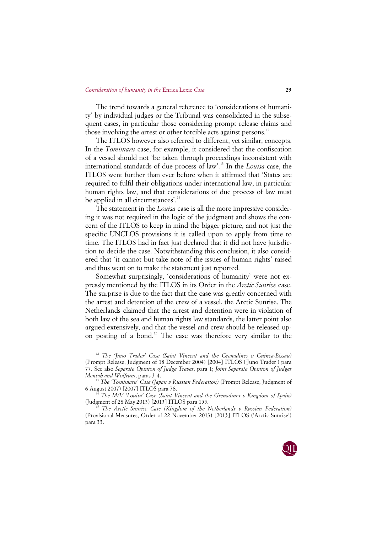### *Consideration of humanity in the* Enrica Lexie *Case* **29**

The trend towards a general reference to 'considerations of humanity' by individual judges or the Tribunal was consolidated in the subsequent cases, in particular those considering prompt release claims and those involving the arrest or other forcible acts against persons.<sup>[12](#page-4-0)</sup>

The ITLOS however also referred to different, yet similar, concepts. In the *Tomimaru* case, for example, it considered that the confiscation of a vessel should not 'be taken through proceedings inconsistent with international standards of due process of law'. [13](#page-4-1) In the *Louisa* case, the ITLOS went further than ever before when it affirmed that 'States are required to fulfil their obligations under international law, in particular human rights law, and that considerations of due process of law must be applied in all circumstances'.<sup>[14](#page-4-2)</sup>

The statement in the *Louisa* case is all the more impressive considering it was not required in the logic of the judgment and shows the concern of the ITLOS to keep in mind the bigger picture, and not just the specific UNCLOS provisions it is called upon to apply from time to time. The ITLOS had in fact just declared that it did not have jurisdiction to decide the case. Notwithstanding this conclusion, it also considered that 'it cannot but take note of the issues of human rights' raised and thus went on to make the statement just reported.

Somewhat surprisingly, 'considerations of humanity' were not expressly mentioned by the ITLOS in its Order in the *Arctic Sunrise* case. The surprise is due to the fact that the case was greatly concerned with the arrest and detention of the crew of a vessel, the Arctic Sunrise. The Netherlands claimed that the arrest and detention were in violation of both law of the sea and human rights law standards, the latter point also argued extensively, and that the vessel and crew should be released up-on posting of a bond.<sup>[15](#page-4-3)</sup> The case was therefore very similar to the

<span id="page-4-0"></span><sup>12</sup> *The 'Juno Trader' Case (Saint Vincent and the Grenadines v Guinea-Bissau)* (Prompt Release, Judgment of 18 December 2004) [2004] ITLOS ('Juno Trader') para 77. See also *Separate Opinion of Judge Treves*, para 1; *Joint Separate Opinion of Judges Mensah and Wolfrum*, paras 3-4.

<span id="page-4-1"></span><sup>13</sup> *The 'Tomimaru' Case (Japan v Russian Federation)* (Prompt Release, Judgment of 6 August 2007) [2007] ITLOS para 76.

<span id="page-4-2"></span><sup>14</sup> The M/V 'Louisa' Case (Saint Vincent and the Grenadines v Kingdom of Spain)<br>(Judgment of 28 May 2013) [2013] ITLOS para 155.

<span id="page-4-3"></span>*The Arctic Sunrise Case (Kingdom of the Netherlands v Russian Federation)* (Provisional Measures, Order of 22 November 2013) [2013] ITLOS ('Arctic Sunrise') para 33.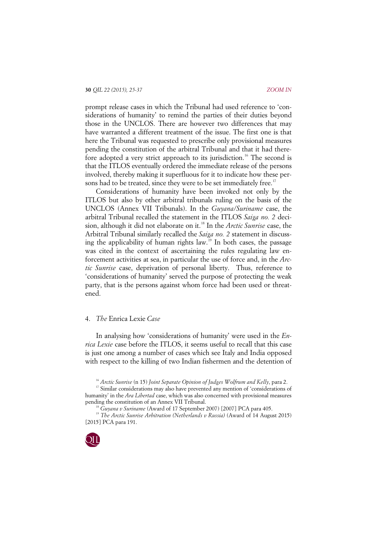prompt release cases in which the Tribunal had used reference to 'considerations of humanity' to remind the parties of their duties beyond those in the UNCLOS. There are however two differences that may have warranted a different treatment of the issue. The first one is that here the Tribunal was requested to prescribe only provisional measures pending the constitution of the arbitral Tribunal and that it had there-fore adopted a very strict approach to its jurisdiction.<sup>[16](#page-5-0)</sup> The second is that the ITLOS eventually ordered the immediate release of the persons involved, thereby making it superfluous for it to indicate how these per-sons had to be treated, since they were to be set immediately free.<sup>[17](#page-5-1)</sup>

Considerations of humanity have been invoked not only by the ITLOS but also by other arbitral tribunals ruling on the basis of the UNCLOS (Annex VII Tribunals). In the *Guyana/Suriname* case, the arbitral Tribunal recalled the statement in the ITLOS *Saiga no. 2* decision, although it did not elaborate on it.[18](#page-5-2) In the *Arctic Sunrise* case, the Arbitral Tribunal similarly recalled the *Saiga no. 2* statement in discussing the applicability of human rights law.[19](#page-5-3) In both cases, the passage was cited in the context of ascertaining the rules regulating law enforcement activities at sea, in particular the use of force and, in the *Arctic Sunrise* case, deprivation of personal liberty. Thus, reference to 'considerations of humanity' served the purpose of protecting the weak party, that is the persons against whom force had been used or threatened.

### 4. *The* Enrica Lexie *Case*

In analysing how 'considerations of humanity' were used in the *Enrica Lexie* case before the ITLOS, it seems useful to recall that this case is just one among a number of cases which see Italy and India opposed with respect to the killing of two Indian fishermen and the detention of

<span id="page-5-1"></span><span id="page-5-0"></span><sup>16</sup> *Arctic Sunrise* (n 15) *Joint Separate Opinion of Judges Wolfrum and Kelly*, para 2.<br><sup>17</sup> Similar considerations may also have prevented any mention of 'considerations of humanity' in the *Ara Libertad* case, which was also concerned with provisional measures pending the constitution of an Annex VII Tribunal. 18 *Guyana v Suriname* (Award of 17 September 2007) [2007] PCA para 405.

<span id="page-5-3"></span><span id="page-5-2"></span><sup>19</sup> *The Arctic Sunrise Arbitration (Netherlands v Russia)* (Award of 14 August 2015) [2015] PCA para 191.

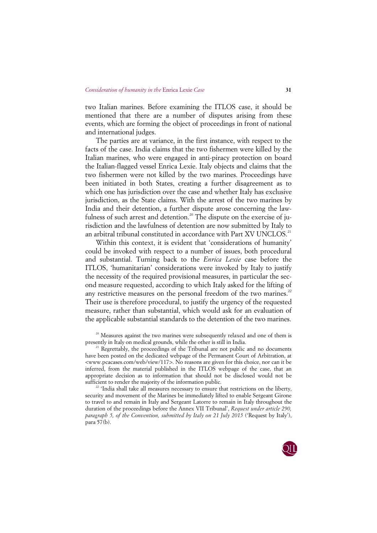two Italian marines. Before examining the ITLOS case, it should be mentioned that there are a number of disputes arising from these events, which are forming the object of proceedings in front of national and international judges.

The parties are at variance, in the first instance, with respect to the facts of the case. India claims that the two fishermen were killed by the Italian marines, who were engaged in anti-piracy protection on board the Italian-flagged vessel Enrica Lexie. Italy objects and claims that the two fishermen were not killed by the two marines. Proceedings have been initiated in both States, creating a further disagreement as to which one has jurisdiction over the case and whether Italy has exclusive jurisdiction, as the State claims. With the arrest of the two marines by India and their detention, a further dispute arose concerning the law-fulness of such arrest and detention.<sup>[20](#page-6-0)</sup> The dispute on the exercise of jurisdiction and the lawfulness of detention are now submitted by Italy to an arbitral tribunal constituted in accordance with Part XV UNCLOS.<sup>21</sup>

Within this context, it is evident that 'considerations of humanity' could be invoked with respect to a number of issues, both procedural and substantial. Turning back to the *Enrica Lexie* case before the ITLOS, 'humanitarian' considerations were invoked by Italy to justify the necessity of the required provisional measures, in particular the second measure requested, according to which Italy asked for the lifting of any restrictive measures on the personal freedom of the two marines.<sup>[22](#page-6-2)</sup> Their use is therefore procedural, to justify the urgency of the requested measure, rather than substantial, which would ask for an evaluation of the applicable substantial standards to the detention of the two marines.

<span id="page-6-2"></span>security and movement of the Marines be immediately lifted to enable Sergeant Girone to travel to and remain in Italy and Sergeant Latorre to remain in Italy throughout the duration of the proceedings before the Annex VII Tribunal', *Request under article 290, paragraph 5, of the Convention, submitted by Italy on 21 July 2015* ('Request by Italy'), para 57(b).



<span id="page-6-0"></span><sup>&</sup>lt;sup>20</sup> Measures against the two marines were subsequently relaxed and one of them is presently in Italy on medical grounds, while the other is still in India.

<span id="page-6-1"></span> $P$ <sup>1</sup> Regrettably, the proceedings of the Tribunal are not public and no documents have been posted on the dedicated webpage of the Permanent Court of Arbitration, at  $\langle$ www.pcacases.com/web/view/117>. No reasons are given for this choice, nor can it be inferred, from the material published in the ITLOS webpage of the case, that an appropriate decision as to information that should not be disclosed would not be sufficient to render the majority of the information public.<br><sup>22</sup> 'India shall take all measures necessary to ensure that restrictions on the liberty,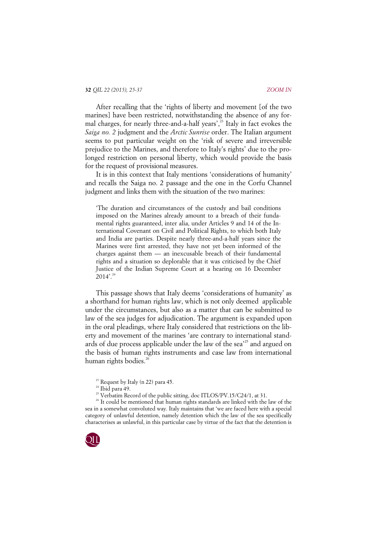After recalling that the 'rights of liberty and movement [of the two marines] have been restricted, notwithstanding the absence of any formal charges, for nearly three-and-a-half years', [23](#page-7-0) Italy in fact evokes the *Saiga no. 2* judgment and the *Arctic Sunrise* order. The Italian argument seems to put particular weight on the 'risk of severe and irreversible prejudice to the Marines, and therefore to Italy's rights' due to the prolonged restriction on personal liberty, which would provide the basis for the request of provisional measures.

It is in this context that Italy mentions 'considerations of humanity' and recalls the Saiga no. 2 passage and the one in the Corfu Channel judgment and links them with the situation of the two marines:

'The duration and circumstances of the custody and bail conditions imposed on the Marines already amount to a breach of their fundamental rights guaranteed, inter alia, under Articles 9 and 14 of the International Covenant on Civil and Political Rights, to which both Italy and India are parties. Despite nearly three-and-a-half years since the Marines were first arrested, they have not yet been informed of the charges against them — an inexcusable breach of their fundamental rights and a situation so deplorable that it was criticised by the Chief Justice of the Indian Supreme Court at a hearing on 16 December  $2014$ '.<sup>[24](#page-7-1)</sup>

This passage shows that Italy deems 'considerations of humanity' as a shorthand for human rights law, which is not only deemed applicable under the circumstances, but also as a matter that can be submitted to law of the sea judges for adjudication. The argument is expanded upon in the oral pleadings, where Italy considered that restrictions on the liberty and movement of the marines 'are contrary to international stand-ards of due process applicable under the law of the sea<sup>[25](#page-7-2)</sup> and argued on the basis of human rights instruments and case law from international human rights bodies.<sup>[26](#page-7-3)</sup>

<span id="page-7-3"></span><span id="page-7-2"></span><span id="page-7-1"></span><span id="page-7-0"></span> $26$  It could be mentioned that human rights standards are linked with the law of the sea in a somewhat convoluted way. Italy maintains that 'we are faced here with a special category of unlawful detention, namely detention which the law of the sea specifically characterises as unlawful, in this particular case by virtue of the fact that the detention is



<sup>&</sup>lt;sup>23</sup> Request by Italy (n 22) para 45.<br><sup>24</sup> Ibid para 49.<br><sup>25</sup> Verbatim Record of the public sitting, doc ITLOS/PV.15/C24/1, at 31.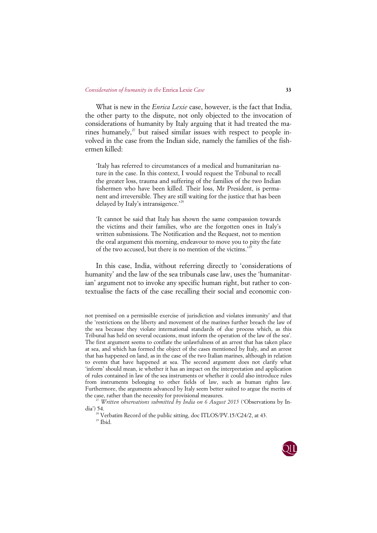What is new in the *Enrica Lexie* case, however, is the fact that India, the other party to the dispute, not only objected to the invocation of considerations of humanity by Italy arguing that it had treated the marines humanely, $27$  but raised similar issues with respect to people involved in the case from the Indian side, namely the families of the fishermen killed:

'Italy has referred to circumstances of a medical and humanitarian nature in the case. In this context, I would request the Tribunal to recall the greater loss, trauma and suffering of the families of the two Indian fishermen who have been killed. Their loss, Mr President, is permanent and irreversible. They are still waiting for the justice that has been delayed by Italy's intransigence.' [28](#page-8-1)

'It cannot be said that Italy has shown the same compassion towards the victims and their families, who are the forgotten ones in Italy's written submissions. The Notification and the Request, not to mention the oral argument this morning, endeavour to move you to pity the fate of the two accused, but there is no mention of the victims.' [29](#page-8-2)

In this case, India, without referring directly to 'considerations of humanity' and the law of the sea tribunals case law, uses the 'humanitarian' argument not to invoke any specific human right, but rather to contextualise the facts of the case recalling their social and economic con-

<sup>&</sup>lt;sup>28</sup> Verbatim Record of the public sitting, doc ITLOS/PV.15/C24/2, at 43. <sup>29</sup> Ibid.



not premised on a permissible exercise of jurisdiction and violates immunity' and that the 'restrictions on the liberty and movement of the marines further breach the law of the sea because they violate international standards of due process which, as this Tribunal has held on several occasions, must inform the operation of the law of the sea'. The first argument seems to conflate the unlawfulness of an arrest that has taken place at sea, and which has formed the object of the cases mentioned by Italy, and an arrest that has happened on land, as in the case of the two Italian marines, although in relation to events that have happened at sea. The second argument does not clarify what 'inform' should mean, ie whether it has an impact on the interpretation and application of rules contained in law of the sea instruments or whether it could also introduce rules from instruments belonging to other fields of law, such as human rights law. Furthermore, the arguments advanced by Italy seem better suited to argue the merits of the case, rather than the necessity for provisional measures.<br><sup>27</sup> *Written observations submitted by India on 6 August 2015* ('Observations by In-

<span id="page-8-2"></span><span id="page-8-1"></span><span id="page-8-0"></span>dia') 54.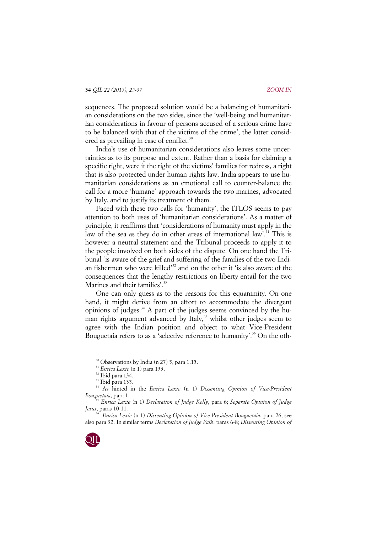sequences. The proposed solution would be a balancing of humanitarian considerations on the two sides, since the 'well-being and humanitarian considerations in favour of persons accused of a serious crime have to be balanced with that of the victims of the crime', the latter consid-ered as prevailing in case of conflict.<sup>[30](#page-9-0)</sup>

India's use of humanitarian considerations also leaves some uncertainties as to its purpose and extent. Rather than a basis for claiming a specific right, were it the right of the victims' families for redress, a right that is also protected under human rights law, India appears to use humanitarian considerations as an emotional call to counter-balance the call for a more 'humane' approach towards the two marines, advocated by Italy, and to justify its treatment of them.

Faced with these two calls for 'humanity', the ITLOS seems to pay attention to both uses of 'humanitarian considerations'. As a matter of principle, it reaffirms that 'considerations of humanity must apply in the law of the sea as they do in other areas of international law'.<sup>[31](#page-9-1)</sup> This is however a neutral statement and the Tribunal proceeds to apply it to the people involved on both sides of the dispute. On one hand the Tribunal 'is aware of the grief and suffering of the families of the two Indi-an fishermen who were killed<sup>[32](#page-9-2)</sup> and on the other it 'is also aware of the consequences that the lengthy restrictions on liberty entail for the two Marines and their families'.<sup>[33](#page-9-3)</sup>

One can only guess as to the reasons for this equanimity. On one hand, it might derive from an effort to accommodate the divergent opinions of judges.<sup>[34](#page-9-4)</sup> A part of the judges seems convinced by the hu-man rights argument advanced by Italy,<sup>[35](#page-9-5)</sup> whilst other judges seem to agree with the Indian position and object to what Vice-President Bouguetaia refers to as a 'selective reference to humanity'. [36](#page-9-6) On the oth-

<sup>30</sup> Observations by India (n 27) 5, para 1.15.<br><sup>31</sup> *Enrica Lexie* (n 1) para 133.<br><sup>32</sup> Ibid para 134.

<span id="page-9-6"></span>*Enrica Lexie* (n 1) *Dissenting Opinion of Vice-President Bouguetaia*, para 26, see also para 32. In similar terms *Declaration of Judge Paik*, paras 6-8; *Dissenting Opinion of* 



<sup>&</sup>lt;sup>33</sup> Ibid para 135.

<span id="page-9-4"></span><span id="page-9-3"></span><span id="page-9-2"></span><span id="page-9-1"></span><span id="page-9-0"></span><sup>34</sup> As hinted in the *Enrica Lexie* (n 1) *Dissenting Opinion of Vice-President Bouguetaia*, para 1. 35 *Enrica Lexie* (n 1) *Declaration of Judge Kelly*, para 6; *Separate Opinion of Judge* 

<span id="page-9-5"></span>*Jesus*, paras 10-11.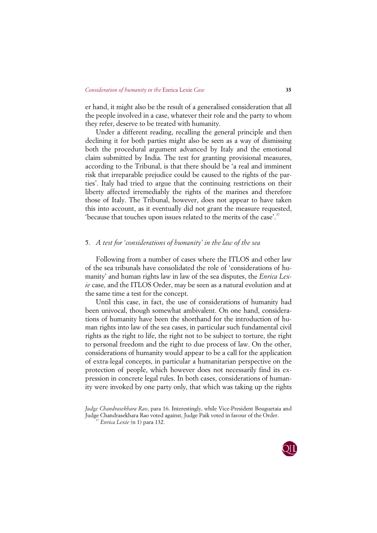er hand, it might also be the result of a generalised consideration that all the people involved in a case, whatever their role and the party to whom they refer, deserve to be treated with humanity.

Under a different reading, recalling the general principle and then declining it for both parties might also be seen as a way of dismissing both the procedural argument advanced by Italy and the emotional claim submitted by India. The test for granting provisional measures, according to the Tribunal, is that there should be 'a real and imminent risk that irreparable prejudice could be caused to the rights of the parties'. Italy had tried to argue that the continuing restrictions on their liberty affected irremediably the rights of the marines and therefore those of Italy. The Tribunal, however, does not appear to have taken this into account, as it eventually did not grant the measure requested, 'because that touches upon issues related to the merits of the case'. [37](#page-10-0)

# 5. *A test for 'considerations of humanity' in the law of the sea*

Following from a number of cases where the ITLOS and other law of the sea tribunals have consolidated the role of 'considerations of humanity' and human rights law in law of the sea disputes, the *Enrica Lexie* case, and the ITLOS Order, may be seen as a natural evolution and at the same time a test for the concept.

Until this case, in fact, the use of considerations of humanity had been univocal, though somewhat ambivalent. On one hand, considerations of humanity have been the shorthand for the introduction of human rights into law of the sea cases, in particular such fundamental civil rights as the right to life, the right not to be subject to torture, the right to personal freedom and the right to due process of law. On the other, considerations of humanity would appear to be a call for the application of extra-legal concepts, in particular a humanitarian perspective on the protection of people, which however does not necessarily find its expression in concrete legal rules. In both cases, considerations of humanity were invoked by one party only, that which was taking up the rights

<span id="page-10-0"></span>*Judge Chandrasekhara Rao*, para 16. Interestingly, while Vice-President Bouguetaia and Judge Chandrasekhara Rao voted against, Judge Paik voted in favour of the Order. 37 *Enrica Lexie* (n 1) para 132.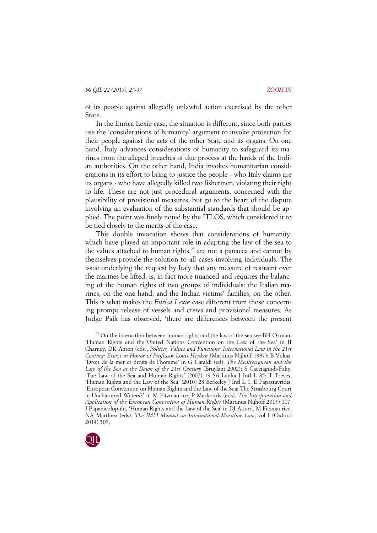of its people against allegedly unlawful action exercised by the other State.

In the Enrica Lexie case, the situation is different, since both parties use the 'considerations of humanity' argument to invoke protection for their people against the acts of the other State and its organs. On one hand, Italy advances considerations of humanity to safeguard its marines from the alleged breaches of due process at the hands of the Indian authorities. On the other hand, India invokes humanitarian considerations in its effort to bring to justice the people - who Italy claims are its organs - who have allegedly killed two fishermen, violating their right to life. These are not just procedural arguments, concerned with the plausibility of provisional measures, but go to the heart of the dispute involving an evaluation of the substantial standards that should be applied. The point was finely noted by the ITLOS, which considered it to be tied closely to the merits of the case.

This double invocation shows that considerations of humanity, which have played an important role in adapting the law of the sea to the values attached to human rights, $38$  are not a panacea and cannot by themselves provide the solution to all cases involving individuals. The issue underlying the request by Italy that any measure of restraint over the marines be lifted, is, in fact more nuanced and requires the balancing of the human rights of two groups of individuals: the Italian marines, on the one hand, and the Indian victims' families, on the other. This is what makes the *Enrica Lexie* case different from those concerning prompt release of vessels and crews and provisional measures. As Judge Paik has observed, 'there are differences between the present

<span id="page-11-0"></span><sup>&</sup>lt;sup>38</sup> On the interaction between human rights and the law of the sea see BH Oxman, 'Human Rights and the United Nations Convention on the Law of the Sea' in JI Charney, DK Anton (eds), *Politics, Values and Functions: International Law in the 21st Century: Essays in Honor of Professor Louis Henkin* (Martinus Nijhoff 1997); B Vukas, 'Droit de la mer et droits de l'homme' in G Cataldi (ed), *The Mediterranean and the Law of the Sea at the Dawn of the 21st Century* (Bruylant 2002); S Cacciaguidi-Fahy, 'The Law of the Sea and Human Rights' (2007) 19 Sri Lanka J Intl L 85; T Treves, 'Human Rights and the Law of the Sea' (2010) 28 Berkeley J Intl L 1; E Papastavridis, 'European Convention on Human Rights and the Law of the Sea: The Strasbourg Court in Unchartered Waters?' in M Fitzmaurice, P Merkouris (eds), *The Interpretation and Application of the European Convention of Human Rights* (Martinus Nijhoff 2013) 117; I Papanicolopulu, 'Human Rights and the Law of the Sea' in DJ Attard, M Fitzmaurice, NA Martinez (eds), *The IMLI Manual on International Maritime Law*, vol I (Oxford 2014) 509.